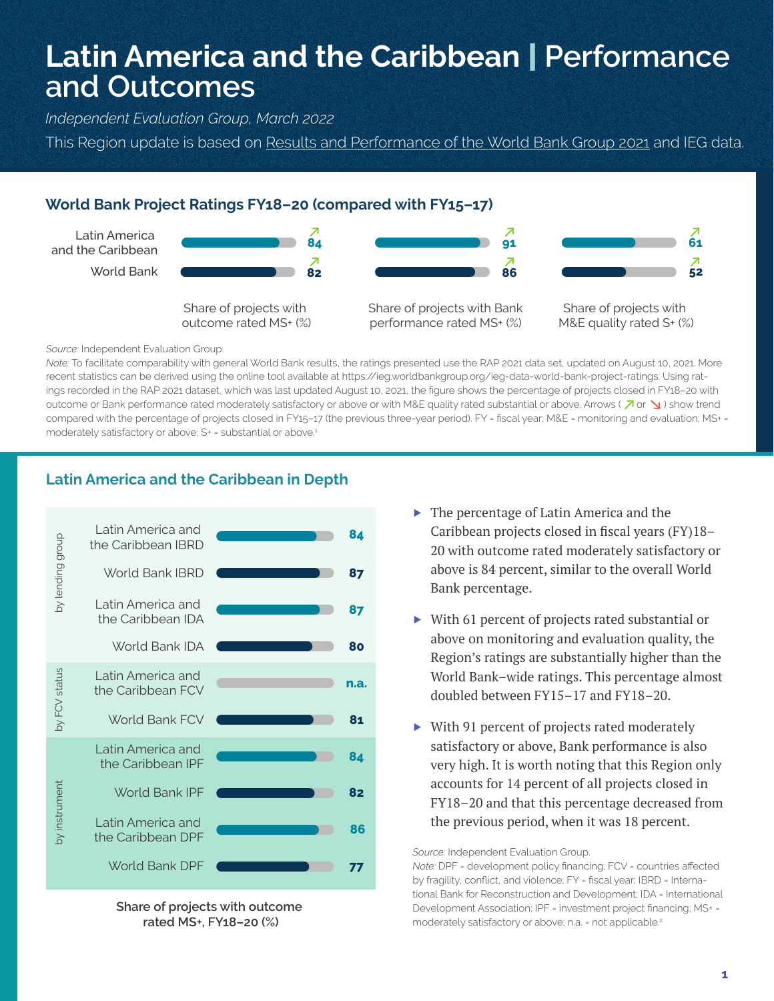# **Latin America and the Caribbean** | **Performance and Outcomes**

*Independent Evaluation Group, March 2022*

This Region update is based on Results and Performance of the World Bank Group 2021 and IEG data.

## **World Bank Project Ratings FY18–20 (compared with FY15–17)**



#### *Source:* Independent Evaluation Group.

*Note:* To facilitate comparability with general World Bank results, the ratings presented use the RAP 2021 data set, updated on August 10, 2021. More recent statistics can be derived using the online tool available at https://ieg.worldbankgroup.org/ieg-data-world-bank-project-ratings. Using ratings recorded in the RAP 2021 dataset, which was last updated August 10, 2021, the figure shows the percentage of projects closed in FY18–20 with outcome or Bank performance rated moderately satisfactory or above or with M&E quality rated substantial or above. Arrows ( $\sqrt{2}$  or  $\sqrt{2}$ ) show trend compared with the percentage of projects closed in FY15-17 (the previous three-year period). FY = fiscal year; M&E = monitoring and evaluation; MS+ = moderately satisfactory or above; S+ = substantial or above.<sup>1</sup>

## **Latin America and the Caribbean in Depth**



**Share of projects with outcome rated MS+, FY18–20 (%)**

- ▶ The percentage of Latin America and the Caribbean projects closed in fiscal years (FY)18– 20 with outcome rated moderately satisfactory or above is 84 percent, similar to the overall World Bank percentage.
- ▶ With 61 percent of projects rated substantial or above on monitoring and evaluation quality, the Region's ratings are substantially higher than the World Bank–wide ratings. This percentage almost doubled between FY15–17 and FY18–20.
- ▶ With 91 percent of projects rated moderately satisfactory or above, Bank performance is also very high. It is worth noting that this Region only accounts for 14 percent of all projects closed in FY18–20 and that this percentage decreased from the previous period, when it was 18 percent.

*Source:* Independent Evaluation Group.

*Note:* DPF = development policy financing; FCV = countries affected by fragility, conflict, and violence; FY = fiscal year; IBRD = International Bank for Reconstruction and Development; IDA = International Development Association; IPF = investment project financing; MS+ = moderately satisfactory or above; n.a. = not applicable.<sup>2</sup>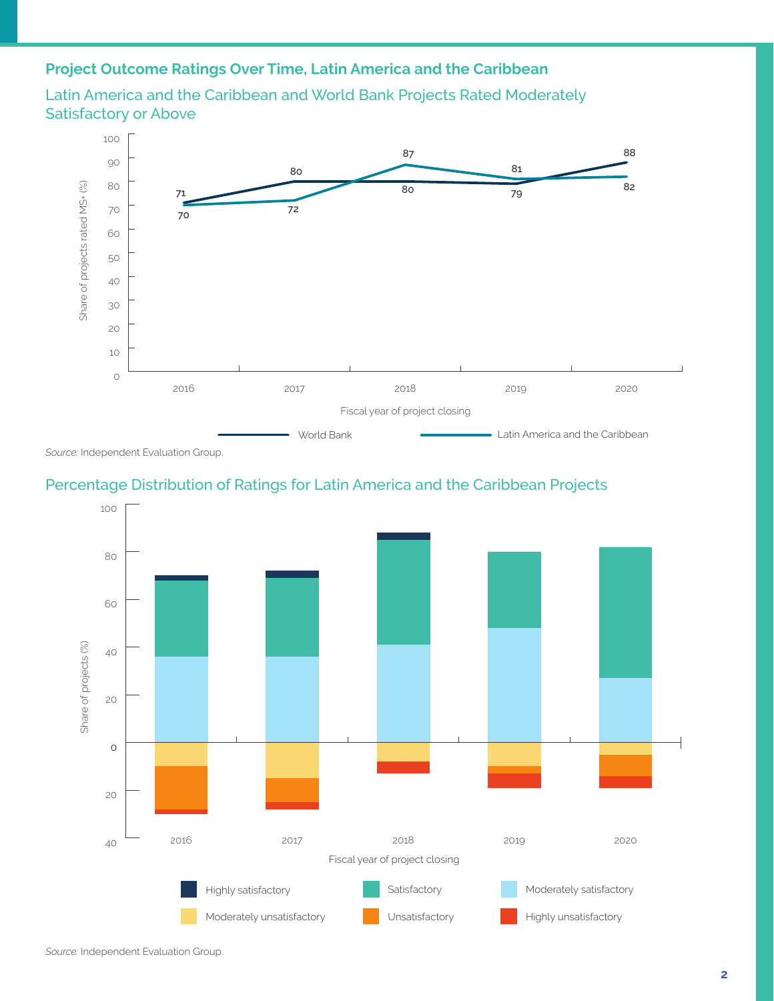## **Project Outcome Ratings Over Time, Latin America and the Caribbean**



Latin America and the Caribbean and World Bank Projects Rated Moderately Satisfactory or Above

*Source:* Independent Evaluation Group.

#### Percentage Distribution of Ratings for Latin America and the Caribbean Projects